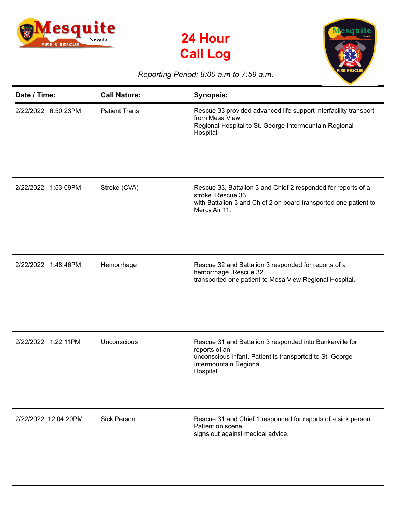





## *Reporting Period: 8:00 a.m to 7:59 a.m.*

| Date / Time:         | <b>Call Nature:</b>  | <b>Synopsis:</b>                                                                                                                                                             |
|----------------------|----------------------|------------------------------------------------------------------------------------------------------------------------------------------------------------------------------|
| 2/22/2022 6:50:23PM  | <b>Patient Trans</b> | Rescue 33 provided advanced life support interfacility transport<br>from Mesa View<br>Regional Hospital to St. George Intermountain Regional<br>Hospital.                    |
| 2/22/2022 1:53:09PM  | Stroke (CVA)         | Rescue 33, Battalion 3 and Chief 2 responded for reports of a<br>stroke. Rescue 33<br>with Battalion 3 and Chief 2 on board transported one patient to<br>Mercy Air 11.      |
| 2/22/2022 1:48:46PM  | Hemorrhage           | Rescue 32 and Battalion 3 responded for reports of a<br>hemorrhage. Rescue 32<br>transported one patient to Mesa View Regional Hospital.                                     |
| 2/22/2022 1:22:11PM  | Unconscious          | Rescue 31 and Battalion 3 responded into Bunkerville for<br>reports of an<br>unconscious infant. Patient is transported to St. George<br>Intermountain Regional<br>Hospital. |
| 2/22/2022 12:04:20PM | <b>Sick Person</b>   | Rescue 31 and Chief 1 responded for reports of a sick person.<br>Patient on scene<br>signs out against medical advice.                                                       |